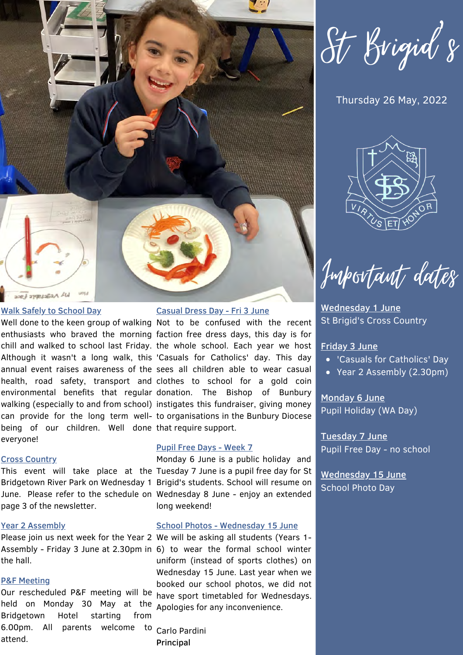

#### Walk Safely to School Day

being of our children. Well done that require support. everyone!

#### Cross Country

page 3 of the newsletter.

#### Year 2 Assembly

the hall.

#### P&F Meeting

held on Monday 30 May at the Apologies for any inconvenience. 6.00pm. All parents welcome to Carlo-Pardini Our rescheduled P&F meeting will be Bridgetown Hotel starting from attend.

#### Casual Dress Day - Fri 3 June

Well done to the keen group of walking Not to be confused with the recent enthusiasts who braved the morning faction free dress days, this day is for chill and walked to school last Friday. the whole school. Each year we host Although it wasn't a long walk, this 'Casuals for Catholics' day. This day annual event raises awareness of the sees all children able to wear casual health, road safety, transport and clothes to school for a gold coin environmental benefits that regular-donation. The Bishop of Bunbury walking (especially to and from school) instigates this fundraiser, giving money can provide for the long term well- to organisations in the Bunbury Diocese

#### Pupil Free Days - Week 7

Monday 6 June is a public holiday and This event will take place at the Tuesday 7 June is a pupil free day for St Bridgetown River Park on Wednesday 1 Brigid's students. School will resume on June. Please refer to the schedule on Wednesday 8 June - enjoy an extended long weekend!

#### School Photos - Wednesday 15 June

Please join us next week for the Year 2 We will be asking all students (Years 1-Assembly - Friday 3 June at 2.30pm in 6) to wear the formal school winter uniform (instead of sports clothes) on Wednesday 15 June. Last year when we booked our school photos, we did not have sport timetabled for Wednesdays.

Principal

St Brigid's

### Thursday 26 May, 2022



Important dates

Wednesday 1 June St Brigid's Cross Country

#### Friday 3 June

- 'Casuals for Catholics' Day
- Year 2 Assembly (2.30pm)

Monday 6 June Pupil Holiday (WA Day)

Tuesday 7 June Pupil Free Day - no school

Wednesday 15 June School Photo Day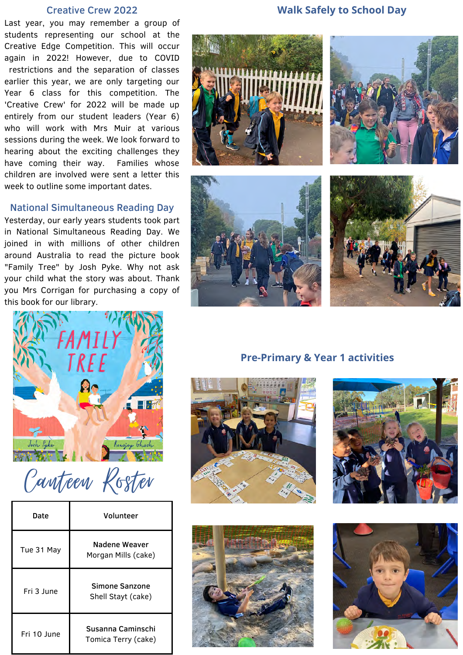#### Creative Crew 2022

Last year, you may remember a group of students representing our school at the Creative Edge Competition. This will occur again in 2022! However, due to COVID restrictions and the separation of classes earlier this year, we are only targeting our Year 6 class for this competition. The 'Creative Crew' for 2022 will be made up entirely from our student leaders (Year 6) who will work with Mrs Muir at various sessions during the week. We look forward to hearing about the exciting challenges they have coming their way. Families whose children are involved were sent a letter this week to outline some important dates.

#### National Simultaneous Reading Day

Yesterday, our early years students took part in National Simultaneous Reading Day. We joined in with millions of other children around Australia to read the picture book "Family Tree" by Josh Pyke. Why not ask your child what the story was about. Thank you Mrs Corrigan for purchasing a copy of this book for our library.

### **Walk Safely to School Day**





Canteen Roster

| Date        | Volunteer                                |
|-------------|------------------------------------------|
| Tue 31 May  | Nadene Weaver<br>Morgan Mills (cake)     |
| Fri 3 June  | Simone Sanzone<br>Shell Stayt (cake)     |
| Fri 10 June | Susanna Caminschi<br>Tomica Terry (cake) |

### **Pre-Primary & Year 1 activities**







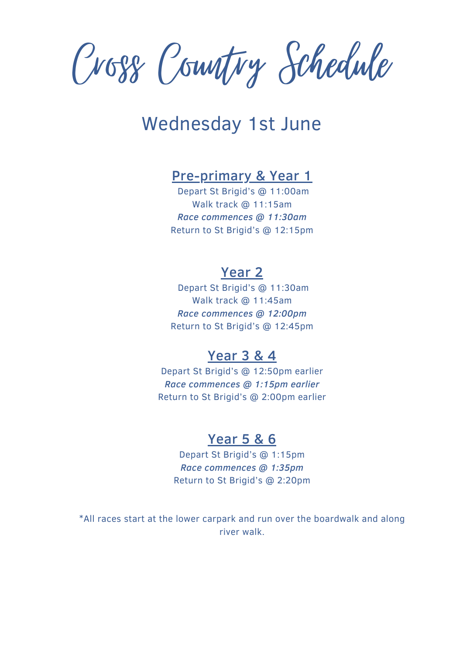Cross Country Schedule

# Wednesday 1st June

# Pre-primary & Year 1

Depart St Brigid's @ 11:00am Walk track @ 11:15am *Race commences @ 11:30am* Return to St Brigid's @ 12:15pm

### Year 2

Depart St Brigid's @ 11:30am Walk track @ 11:45am *Race commences @ 12:00pm* Return to St Brigid's @ 12:45pm

# Year 3 & 4

Depart St Brigid's @ 12:50pm earlier *Race commences @ 1:15pm earlier* Return to St Brigid's @ 2:00pm earlier

## Year 5 & 6

Depart St Brigid's @ 1:15pm *Race commences @ 1:35pm* Return to St Brigid's @ 2:20pm

\*All races start at the lower carpark and run over the boardwalk and along river walk.